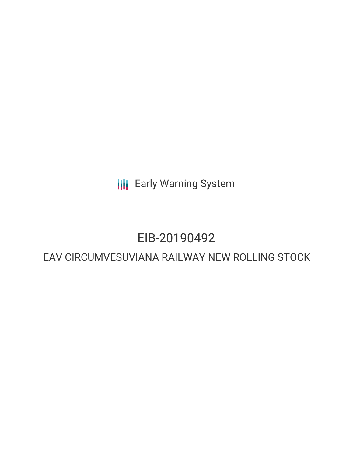**III** Early Warning System

## EIB-20190492

### EAV CIRCUMVESUVIANA RAILWAY NEW ROLLING STOCK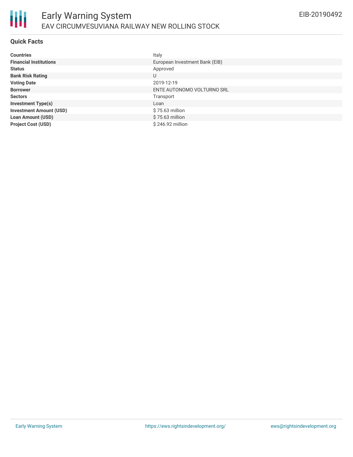

#### **Quick Facts**

| <b>Countries</b>               | Italy                          |
|--------------------------------|--------------------------------|
| <b>Financial Institutions</b>  | European Investment Bank (EIB) |
| <b>Status</b>                  | Approved                       |
| <b>Bank Risk Rating</b>        | U                              |
| <b>Voting Date</b>             | 2019-12-19                     |
| <b>Borrower</b>                | ENTE AUTONOMO VOLTURNO SRL     |
| <b>Sectors</b>                 | Transport                      |
| <b>Investment Type(s)</b>      | Loan                           |
| <b>Investment Amount (USD)</b> | \$75.63 million                |
| <b>Loan Amount (USD)</b>       | \$75.63 million                |
| <b>Project Cost (USD)</b>      | \$246.92 million               |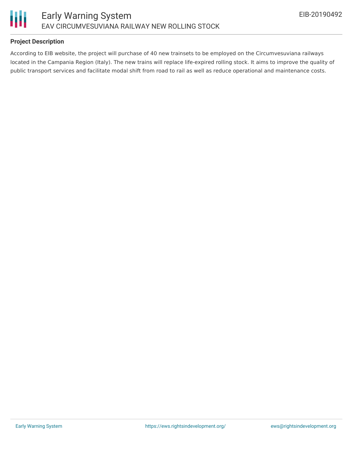

#### **Project Description**

According to EIB website, the project will purchase of 40 new trainsets to be employed on the Circumvesuviana railways located in the Campania Region (Italy). The new trains will replace life-expired rolling stock. It aims to improve the quality of public transport services and facilitate modal shift from road to rail as well as reduce operational and maintenance costs.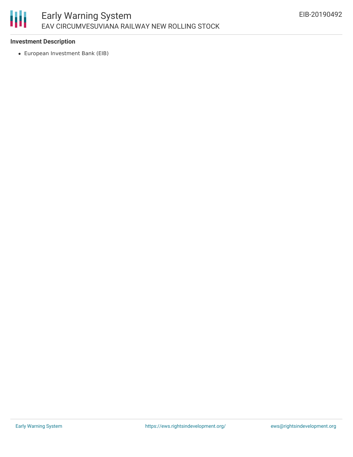# 朋

#### **Investment Description**

European Investment Bank (EIB)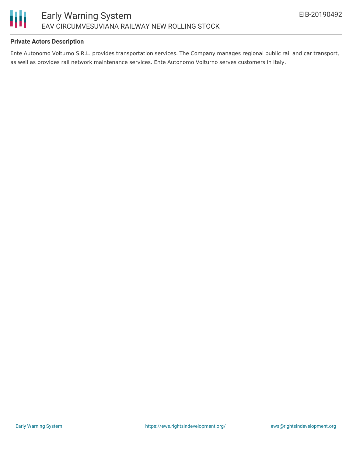

#### **Private Actors Description**

Ente Autonomo Volturno S.R.L. provides transportation services. The Company manages regional public rail and car transport, as well as provides rail network maintenance services. Ente Autonomo Volturno serves customers in Italy.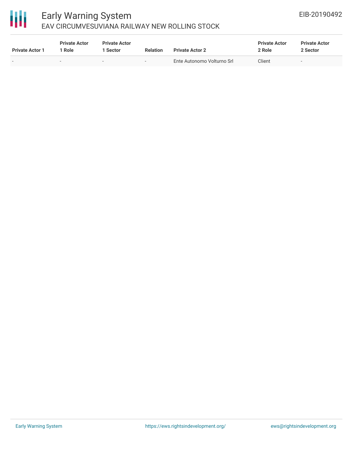## 冊

### Early Warning System EAV CIRCUMVESUVIANA RAILWAY NEW ROLLING STOCK

| <b>Private Actor 1</b> | <b>Private Actor</b><br>1 Role | <b>Private Actor</b><br>l Sector | <b>Relation</b>          | <b>Private Actor 2</b>     | <b>Private Actor</b><br>2 Role | <b>Private Actor</b><br>2 Sector |
|------------------------|--------------------------------|----------------------------------|--------------------------|----------------------------|--------------------------------|----------------------------------|
| $\sim$                 | $\sim$                         |                                  | $\overline{\phantom{a}}$ | Ente Autonomo Volturno Srl | Client                         | $\overline{\phantom{0}}$         |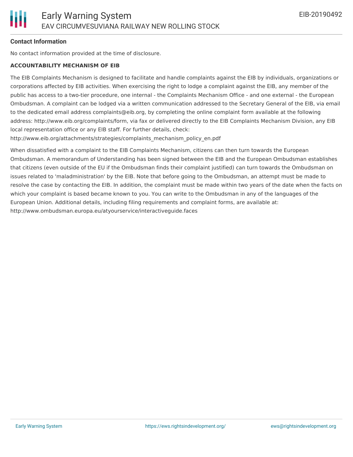#### **Contact Information**

No contact information provided at the time of disclosure.

#### **ACCOUNTABILITY MECHANISM OF EIB**

The EIB Complaints Mechanism is designed to facilitate and handle complaints against the EIB by individuals, organizations or corporations affected by EIB activities. When exercising the right to lodge a complaint against the EIB, any member of the public has access to a two-tier procedure, one internal - the Complaints Mechanism Office - and one external - the European Ombudsman. A complaint can be lodged via a written communication addressed to the Secretary General of the EIB, via email to the dedicated email address complaints@eib.org, by completing the online complaint form available at the following address: http://www.eib.org/complaints/form, via fax or delivered directly to the EIB Complaints Mechanism Division, any EIB local representation office or any EIB staff. For further details, check:

http://www.eib.org/attachments/strategies/complaints\_mechanism\_policy\_en.pdf

When dissatisfied with a complaint to the EIB Complaints Mechanism, citizens can then turn towards the European Ombudsman. A memorandum of Understanding has been signed between the EIB and the European Ombudsman establishes that citizens (even outside of the EU if the Ombudsman finds their complaint justified) can turn towards the Ombudsman on issues related to 'maladministration' by the EIB. Note that before going to the Ombudsman, an attempt must be made to resolve the case by contacting the EIB. In addition, the complaint must be made within two years of the date when the facts on which your complaint is based became known to you. You can write to the Ombudsman in any of the languages of the European Union. Additional details, including filing requirements and complaint forms, are available at: http://www.ombudsman.europa.eu/atyourservice/interactiveguide.faces